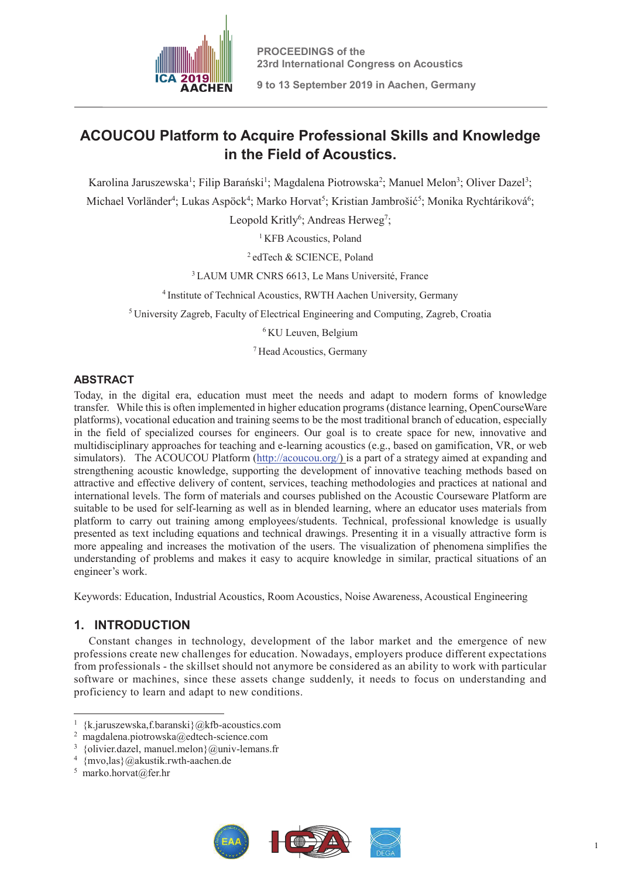

**9 to 13 September 2019 in Aachen, Germany**

# **ACOUCOU Platform to Acquire Professional Skills and Knowledge in the Field of Acoustics.**

Karolina Jaruszewska<sup>1</sup>; Filip Barański<sup>1</sup>; Magdalena Piotrowska<sup>2</sup>; Manuel Melon<sup>3</sup>; Oliver Dazel<sup>3</sup>; Michael Vorländer<sup>4</sup>; Lukas Aspöck<sup>4</sup>; Marko Horvat<sup>5</sup>; Kristian Jambrošić<sup>5</sup>; Monika Rychtáriková<sup>6</sup>;

Leopold Kritly<sup>6</sup>; Andreas Herweg<sup>7</sup>;

<sup>1</sup> KFB Acoustics, Poland

2 edTech & SCIENCE, Poland

<sup>3</sup> LAUM UMR CNRS 6613, Le Mans Université, France

4 Institute of Technical Acoustics, RWTH Aachen University, Germany

5 University Zagreb, Faculty of Electrical Engineering and Computing, Zagreb, Croatia

<sup>6</sup> KU Leuven, Belgium

7 Head Acoustics, Germany

# **ABSTRACT**

Today, in the digital era, education must meet the needs and adapt to modern forms of knowledge transfer. While this is often implemented in higher education programs (distance learning, OpenCourseWare platforms), vocational education and training seems to be the most traditional branch of education, especially in the field of specialized courses for engineers. Our goal is to create space for new, innovative and multidisciplinary approaches for teaching and e-learning acoustics (e.g., based on gamification, VR, or web simulators). The ACOUCOU Platform (http://acoucou.org/) is a part of a strategy aimed at expanding and strengthening acoustic knowledge, supporting the development of innovative teaching methods based on attractive and effective delivery of content, services, teaching methodologies and practices at national and international levels. The form of materials and courses published on the Acoustic Courseware Platform are suitable to be used for self-learning as well as in blended learning, where an educator uses materials from platform to carry out training among employees/students. Technical, professional knowledge is usually presented as text including equations and technical drawings. Presenting it in a visually attractive form is more appealing and increases the motivation of the users. The visualization of phenomena simplifies the understanding of problems and makes it easy to acquire knowledge in similar, practical situations of an engineer's work.

Keywords: Education, Industrial Acoustics, Room Acoustics, Noise Awareness, Acoustical Engineering

# **1. INTRODUCTION**

Constant changes in technology, development of the labor market and the emergence of new professions create new challenges for education. Nowadays, employers produce different expectations from professionals - the skillset should not anymore be considered as an ability to work with particular software or machines, since these assets change suddenly, it needs to focus on understanding and proficiency to learn and adapt to new conditions.

.



<sup>1</sup> {k.jaruszewska,f.baranski}@kfb-acoustics.com

<sup>&</sup>lt;sup>2</sup> magdalena.piotrowska@edtech-science.com

<sup>&</sup>lt;sup>3</sup> {olivier.dazel, manuel.melon}@univ-lemans.fr

<sup>4</sup> {mvo,las}@akustik.rwth-aachen.de

<sup>5</sup> marko.horvat@fer.hr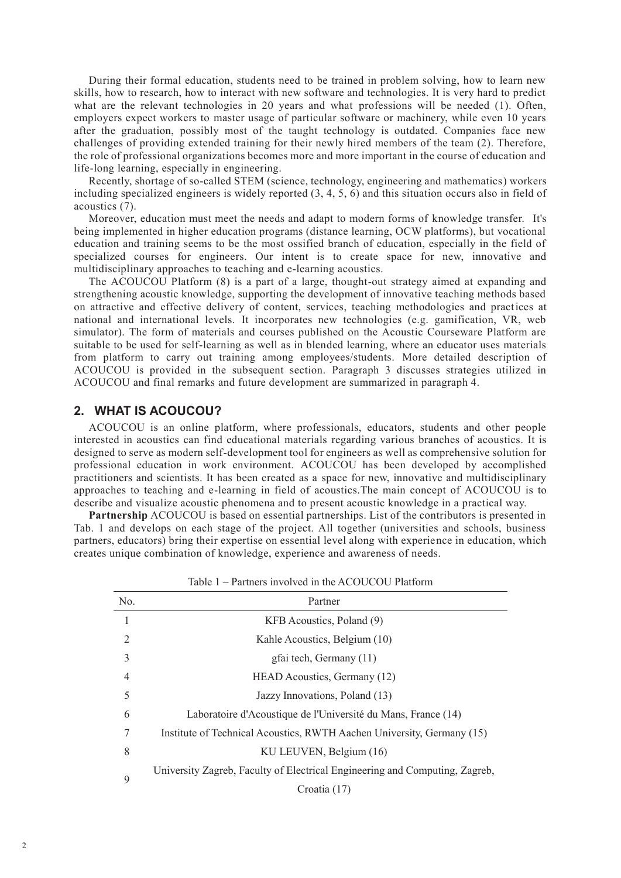During their formal education, students need to be trained in problem solving, how to learn new skills, how to research, how to interact with new software and technologies. It is very hard to predict what are the relevant technologies in 20 years and what professions will be needed (1). Often, employers expect workers to master usage of particular software or machinery, while even 10 years after the graduation, possibly most of the taught technology is outdated. Companies face new challenges of providing extended training for their newly hired members of the team (2). Therefore, the role of professional organizations becomes more and more important in the course of education and life-long learning, especially in engineering.

Recently, shortage of so-called STEM (science, technology, engineering and mathematics) workers including specialized engineers is widely reported (3, 4, 5, 6) and this situation occurs also in field of acoustics (7).

Moreover, education must meet the needs and adapt to modern forms of knowledge transfer. It's being implemented in higher education programs (distance learning, OCW platforms), but vocational education and training seems to be the most ossified branch of education, especially in the field of specialized courses for engineers. Our intent is to create space for new, innovative and multidisciplinary approaches to teaching and e-learning acoustics.

The ACOUCOU Platform (8) is a part of a large, thought-out strategy aimed at expanding and strengthening acoustic knowledge, supporting the development of innovative teaching methods based on attractive and effective delivery of content, services, teaching methodologies and practices at national and international levels. It incorporates new technologies (e.g. gamification, VR, web simulator). The form of materials and courses published on the Acoustic Courseware Platform are suitable to be used for self-learning as well as in blended learning, where an educator uses materials from platform to carry out training among employees/students. More detailed description of ACOUCOU is provided in the subsequent section. Paragraph 3 discusses strategies utilized in ACOUCOU and final remarks and future development are summarized in paragraph 4.

# **2. WHAT IS ACOUCOU?**

ACOUCOU is an online platform, where professionals, educators, students and other people interested in acoustics can find educational materials regarding various branches of acoustics. It is designed to serve as modern self-development tool for engineers as well as comprehensive solution for professional education in work environment. ACOUCOU has been developed by accomplished practitioners and scientists. It has been created as a space for new, innovative and multidisciplinary approaches to teaching and e-learning in field of acoustics.The main concept of ACOUCOU is to describe and visualize acoustic phenomena and to present acoustic knowledge in a practical way.

**Partnership** ACOUCOU is based on essential partnerships. List of the contributors is presented in Tab. 1 and develops on each stage of the project. All together (universities and schools, business partners, educators) bring their expertise on essential level along with experience in education, which creates unique combination of knowledge, experience and awareness of needs.

| No. | Partner                                                                     |
|-----|-----------------------------------------------------------------------------|
|     | KFB Acoustics, Poland (9)                                                   |
| 2   | Kahle Acoustics, Belgium (10)                                               |
| 3   | gfai tech, Germany (11)                                                     |
| 4   | HEAD Acoustics, Germany (12)                                                |
| 5   | Jazzy Innovations, Poland (13)                                              |
| 6   | Laboratoire d'Acoustique de l'Université du Mans, France (14)               |
|     | Institute of Technical Acoustics, RWTH Aachen University, Germany (15)      |
| 8   | KU LEUVEN, Belgium (16)                                                     |
| 9   | University Zagreb, Faculty of Electrical Engineering and Computing, Zagreb, |
|     | Croatia (17)                                                                |

Table 1 – Partners involved in the ACOUCOU Platform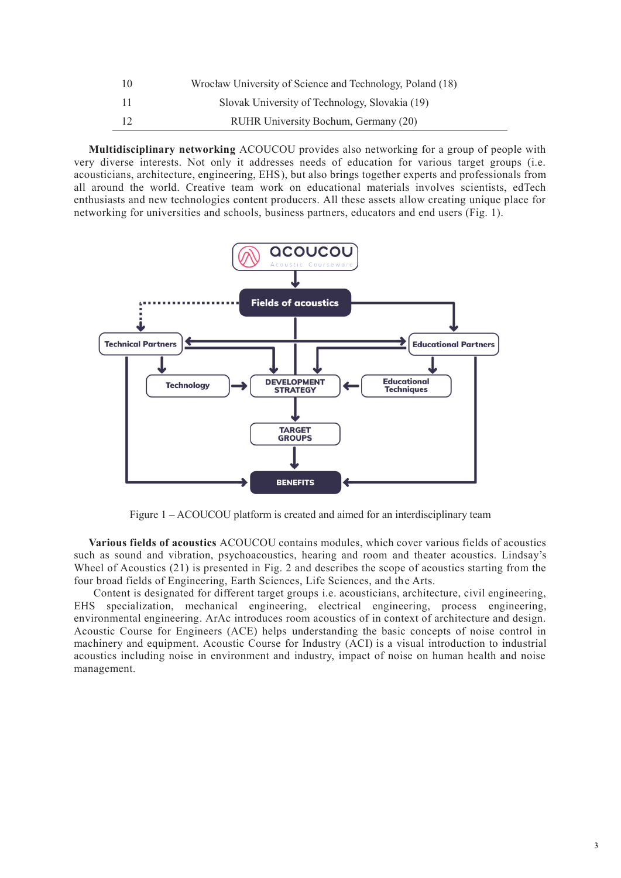|     | Wrocław University of Science and Technology, Poland (18) |
|-----|-----------------------------------------------------------|
|     | Slovak University of Technology, Slovakia (19)            |
| -12 | RUHR University Bochum, Germany (20)                      |

**Multidisciplinary networking** ACOUCOU provides also networking for a group of people with very diverse interests. Not only it addresses needs of education for various target groups (i.e. acousticians, architecture, engineering, EHS), but also brings together experts and professionals from all around the world. Creative team work on educational materials involves scientists, edTech enthusiasts and new technologies content producers. All these assets allow creating unique place for networking for universities and schools, business partners, educators and end users (Fig. 1).



Figure 1 – ACOUCOU platform is created and aimed for an interdisciplinary team

**Various fields of acoustics** ACOUCOU contains modules, which cover various fields of acoustics such as sound and vibration, psychoacoustics, hearing and room and theater acoustics. Lindsay's Wheel of Acoustics (21) is presented in Fig. 2 and describes the scope of acoustics starting from the four broad fields of Engineering, Earth Sciences, Life Sciences, and the Arts.

 Content is designated for different target groups i.e. acousticians, architecture, civil engineering, EHS specialization, mechanical engineering, electrical engineering, process engineering, environmental engineering. ArAc introduces room acoustics of in context of architecture and design. Acoustic Course for Engineers (ACE) helps understanding the basic concepts of noise control in machinery and equipment. Acoustic Course for Industry (ACI) is a visual introduction to industrial acoustics including noise in environment and industry, impact of noise on human health and noise management.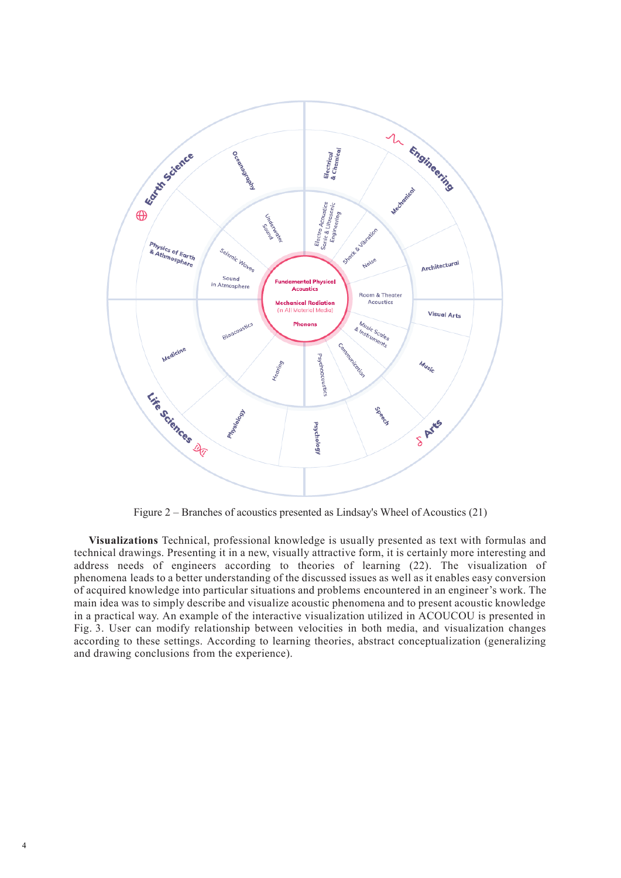

Figure 2 – Branches of acoustics presented as Lindsay's Wheel of Acoustics (21)

**Visualizations** Technical, professional knowledge is usually presented as text with formulas and technical drawings. Presenting it in a new, visually attractive form, it is certainly more interesting and address needs of engineers according to theories of learning (22). The visualization of phenomena leads to a better understanding of the discussed issues as well as it enables easy conversion of acquired knowledge into particular situations and problems encountered in an engineer's work. The main idea was to simply describe and visualize acoustic phenomena and to present acoustic knowledge in a practical way. An example of the interactive visualization utilized in ACOUCOU is presented in Fig. 3. User can modify relationship between velocities in both media, and visualization changes according to these settings. According to learning theories, abstract conceptualization (generalizing and drawing conclusions from the experience).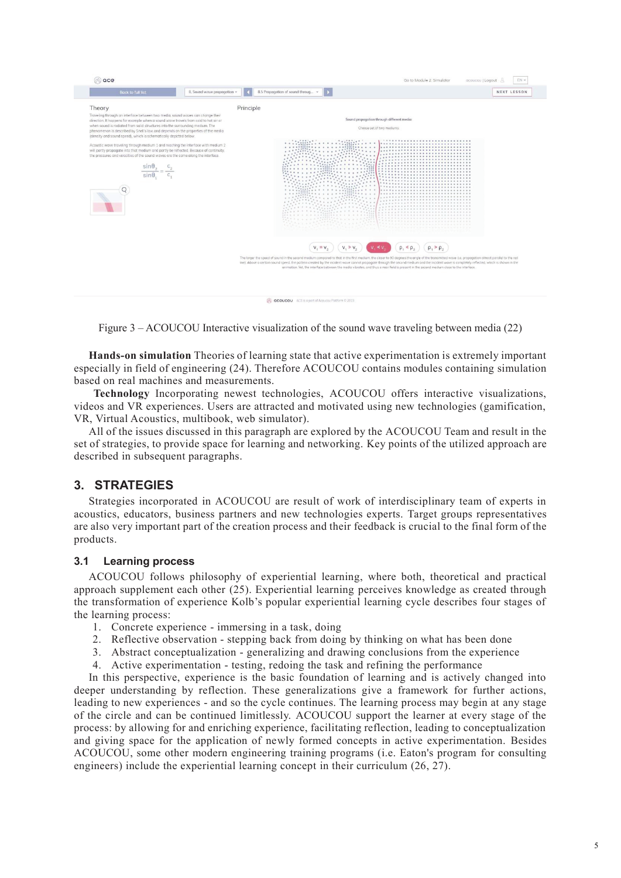

Figure 3 – ACOUCOU Interactive visualization of the sound wave traveling between media (22)

**Hands-on simulation** Theories of learning state that active experimentation is extremely important especially in field of engineering (24). Therefore ACOUCOU contains modules containing simulation based on real machines and measurements.

**Technology** Incorporating newest technologies, ACOUCOU offers interactive visualizations, videos and VR experiences. Users are attracted and motivated using new technologies (gamification, VR, Virtual Acoustics, multibook, web simulator).

All of the issues discussed in this paragraph are explored by the ACOUCOU Team and result in the set of strategies, to provide space for learning and networking. Key points of the utilized approach are described in subsequent paragraphs.

# **3. STRATEGIES**

Strategies incorporated in ACOUCOU are result of work of interdisciplinary team of experts in acoustics, educators, business partners and new technologies experts. Target groups representatives are also very important part of the creation process and their feedback is crucial to the final form of the products.

### **3.1 Learning process**

ACOUCOU follows philosophy of experiential learning, where both, theoretical and practical approach supplement each other (25). Experiential learning perceives knowledge as created through the transformation of experience Kolb's popular experiential learning cycle describes four stages of the learning process:

- 1. Concrete experience immersing in a task, doing
- 2. Reflective observation stepping back from doing by thinking on what has been done
- 3. Abstract conceptualization generalizing and drawing conclusions from the experience
- 4. Active experimentation testing, redoing the task and refining the performance

In this perspective, experience is the basic foundation of learning and is actively changed into deeper understanding by reflection. These generalizations give a framework for further actions, leading to new experiences - and so the cycle continues. The learning process may begin at any stage of the circle and can be continued limitlessly. ACOUCOU support the learner at every stage of the process: by allowing for and enriching experience, facilitating reflection, leading to conceptualization and giving space for the application of newly formed concepts in active experimentation. Besides ACOUCOU, some other modern engineering training programs (i.e. Eaton's program for consulting engineers) include the experiential learning concept in their curriculum (26, 27).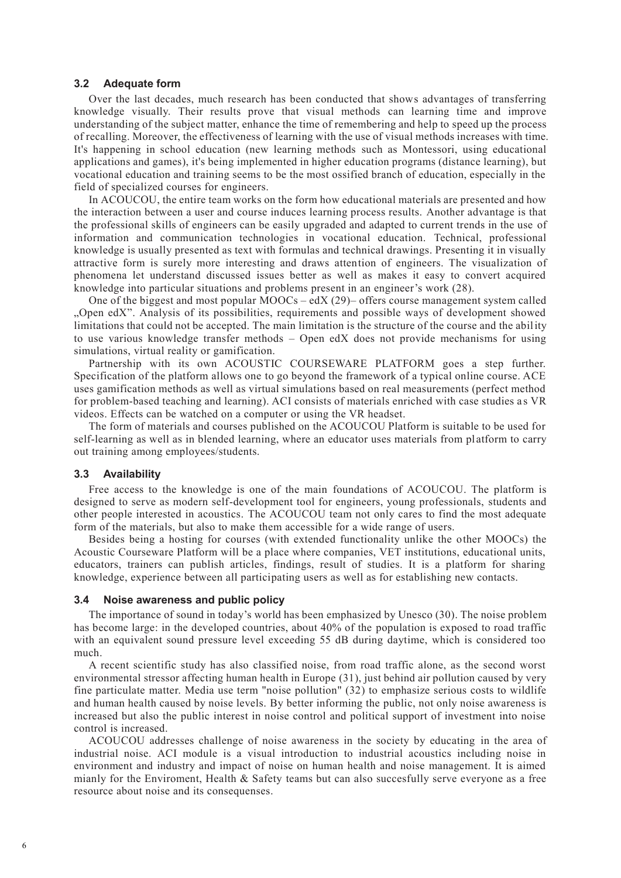#### **3.2 Adequate form**

Over the last decades, much research has been conducted that shows advantages of transferring knowledge visually. Their results prove that visual methods can learning time and improve understanding of the subject matter, enhance the time of remembering and help to speed up the process of recalling. Moreover, the effectiveness of learning with the use of visual methods increases with time. It's happening in school education (new learning methods such as Montessori, using educational applications and games), it's being implemented in higher education programs (distance learning), but vocational education and training seems to be the most ossified branch of education, especially in the field of specialized courses for engineers.

In ACOUCOU, the entire team works on the form how educational materials are presented and how the interaction between a user and course induces learning process results. Another advantage is that the professional skills of engineers can be easily upgraded and adapted to current trends in the use of information and communication technologies in vocational education. Technical, professional knowledge is usually presented as text with formulas and technical drawings. Presenting it in visually attractive form is surely more interesting and draws attention of engineers. The visualization of phenomena let understand discussed issues better as well as makes it easy to convert acquired knowledge into particular situations and problems present in an engineer's work (28).

One of the biggest and most popular  $MOOCs - e dX (29)$  offers course management system called "Open edX". Analysis of its possibilities, requirements and possible ways of development showed limitations that could not be accepted. The main limitation is the structure of the course and the ability to use various knowledge transfer methods – Open edX does not provide mechanisms for using simulations, virtual reality or gamification.

Partnership with its own ACOUSTIC COURSEWARE PLATFORM goes a step further. Specification of the platform allows one to go beyond the framework of a typical online course. ACE uses gamification methods as well as virtual simulations based on real measurements (perfect method for problem-based teaching and learning). ACI consists of materials enriched with case studies as VR videos. Effects can be watched on a computer or using the VR headset.

The form of materials and courses published on the ACOUCOU Platform is suitable to be used for self-learning as well as in blended learning, where an educator uses materials from platform to carry out training among employees/students.

#### **3.3 Availability**

Free access to the knowledge is one of the main foundations of ACOUCOU. The platform is designed to serve as modern self-development tool for engineers, young professionals, students and other people interested in acoustics. The ACOUCOU team not only cares to find the most adequate form of the materials, but also to make them accessible for a wide range of users.

Besides being a hosting for courses (with extended functionality unlike the other MOOCs) the Acoustic Courseware Platform will be a place where companies, VET institutions, educational units, educators, trainers can publish articles, findings, result of studies. It is a platform for sharing knowledge, experience between all participating users as well as for establishing new contacts.

#### **3.4 Noise awareness and public policy**

The importance of sound in today's world has been emphasized by Unesco (30). The noise problem has become large: in the developed countries, about 40% of the population is exposed to road traffic with an equivalent sound pressure level exceeding 55 dB during daytime, which is considered too much.

A recent scientific study has also classified noise, from road traffic alone, as the second worst environmental stressor affecting human health in Europe (31), just behind air pollution caused by very fine particulate matter. Media use term "noise pollution" (32) to emphasize serious costs to wildlife and human health caused by noise levels. By better informing the public, not only noise awareness is increased but also the public interest in noise control and political support of investment into noise control is increased.

ACOUCOU addresses challenge of noise awareness in the society by educating in the area of industrial noise. ACI module is a visual introduction to industrial acoustics including noise in environment and industry and impact of noise on human health and noise management. It is aimed mianly for the Enviroment, Health & Safety teams but can also succesfully serve everyone as a free resource about noise and its consequenses.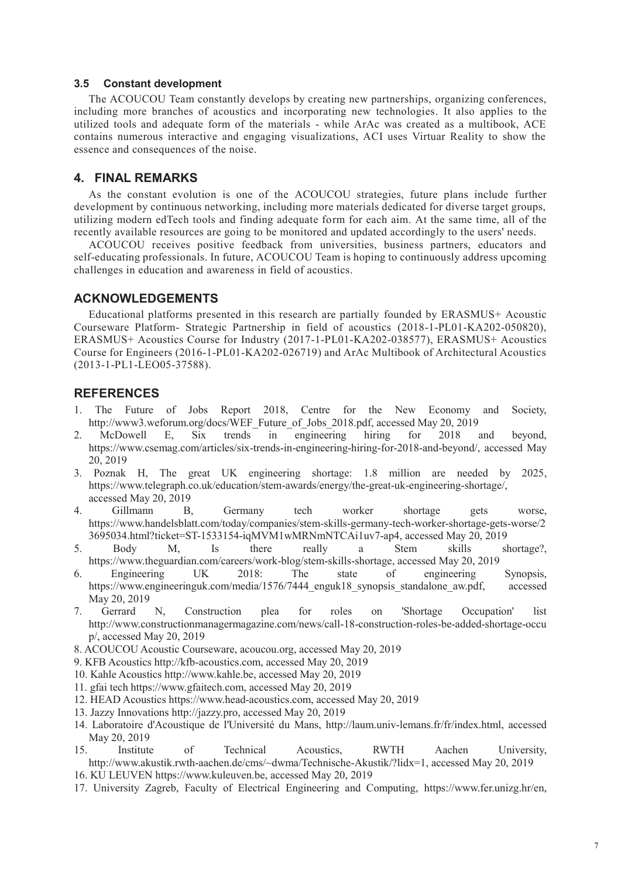#### **3.5 Constant development**

The ACOUCOU Team constantly develops by creating new partnerships, organizing conferences, including more branches of acoustics and incorporating new technologies. It also applies to the utilized tools and adequate form of the materials - while ArAc was created as a multibook, ACE contains numerous interactive and engaging visualizations, ACI uses Virtuar Reality to show the essence and consequences of the noise.

# **4. FINAL REMARKS**

As the constant evolution is one of the ACOUCOU strategies, future plans include further development by continuous networking, including more materials dedicated for diverse target groups, utilizing modern edTech tools and finding adequate form for each aim. At the same time, all of the recently available resources are going to be monitored and updated accordingly to the users' needs.

ACOUCOU receives positive feedback from universities, business partners, educators and self-educating professionals. In future, ACOUCOU Team is hoping to continuously address upcoming challenges in education and awareness in field of acoustics.

### **ACKNOWLEDGEMENTS**

Educational platforms presented in this research are partially founded by ERASMUS+ Acoustic Courseware Platform- Strategic Partnership in field of acoustics (2018-1-PL01-KA202-050820), ERASMUS+ Acoustics Course for Industry (2017-1-PL01-KA202-038577), ERASMUS+ Acoustics Course for Engineers (2016-1-PL01-KA202-026719) and ArAc Multibook of Architectural Acoustics (2013-1-PL1-LEO05-37588).

# **REFERENCES**

- 1. The Future of Jobs Report 2018, Centre for the New Economy and Society, http://www3.weforum.org/docs/WEF\_Future\_of\_Jobs\_2018.pdf, accessed May 20, 2019
- 2. McDowell E, Six trends in engineering hiring for 2018 and beyond, https://www.csemag.com/articles/six-trends-in-engineering-hiring-for-2018-and-beyond/, accessed May 20, 2019
- 3. Poznak H, The great UK engineering shortage: 1.8 million are needed by 2025, https://www.telegraph.co.uk/education/stem-awards/energy/the-great-uk-engineering-shortage/, accessed May 20, 2019
- 4. Gillmann B, Germany tech worker shortage gets worse, https://www.handelsblatt.com/today/companies/stem-skills-germany-tech-worker-shortage-gets-worse/2 3695034.html?ticket=ST-1533154-iqMVM1wMRNmNTCAi1uv7-ap4, accessed May 20, 2019
- 5. Body M, Is there really a Stem skills shortage?, https://www.theguardian.com/careers/work-blog/stem-skills-shortage, accessed May 20, 2019
- 6. Engineering UK 2018: The state of engineering Synopsis, https://www.engineeringuk.com/media/1576/7444\_enguk18\_synopsis\_standalone\_aw.pdf, accessed May 20, 2019
- 7. Gerrard N, Construction plea for roles on 'Shortage Occupation' list http://www.constructionmanagermagazine.com/news/call-18-construction-roles-be-added-shortage-occu p/, accessed May 20, 2019
- 8. ACOUCOU Acoustic Courseware, acoucou.org, accessed May 20, 2019
- 9. KFB Acoustics http://kfb-acoustics.com, accessed May 20, 2019
- 10. Kahle Acoustics http://www.kahle.be, accessed May 20, 2019
- 11. gfai tech https://www.gfaitech.com, accessed May 20, 2019
- 12. HEAD Acoustics https://www.head-acoustics.com, accessed May 20, 2019
- 13. Jazzy Innovations http://jazzy.pro, accessed May 20, 2019
- 14. Laboratoire d'Acoustique de l'Université du Mans, http://laum.univ-lemans.fr/fr/index.html, accessed May 20, 2019
- 15. Institute of Technical Acoustics, RWTH Aachen University, http://www.akustik.rwth-aachen.de/cms/~dwma/Technische-Akustik/?lidx=1, accessed May 20, 2019
- 16. KU LEUVEN https://www.kuleuven.be, accessed May 20, 2019
- 17. University Zagreb, Faculty of Electrical Engineering and Computing, https://www.fer.unizg.hr/en,